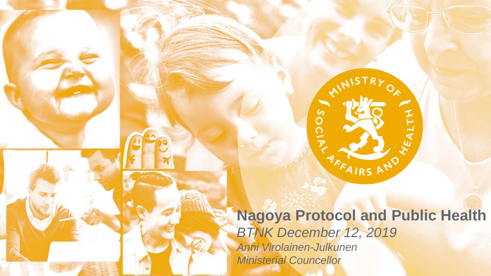**Nagoya Protocol and Public Health** *BTNK December 12, 2019 Anni Virolainen-Julkunen Ministerial Councellor*

AFFAIRS A

 $v_{\mathcal{E}_{\mathcal{A}\mathcal{L}}}$ 

SOCIA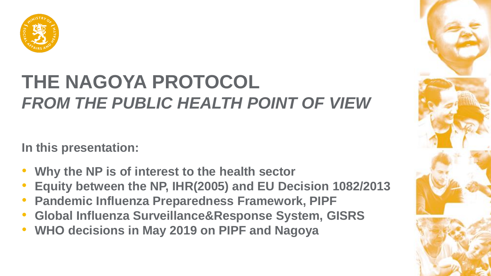

# **THE NAGOYA PROTOCOL** *FROM THE PUBLIC HEALTH POINT OF VIEW*

**In this presentation:**

- **Why the NP is of interest to the health sector**
- **Equity between the NP, IHR(2005) and EU Decision 1082/2013**
- **Pandemic Influenza Preparedness Framework, PIPF**
- **Global Influenza Surveillance&Response System, GISRS**
- **WHO decisions in May 2019 on PIPF and Nagoya**

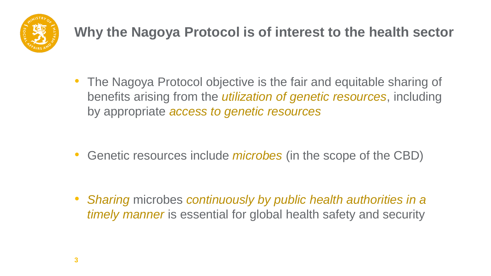

## **Why the Nagoya Protocol is of interest to the health sector**

• The Nagoya Protocol objective is the fair and equitable sharing of benefits arising from the *utilization of genetic resources*, including by appropriate *access to genetic resources*

• Genetic resources include *microbes* (in the scope of the CBD)

• *Sharing* microbes *continuously by public health authorities in a timely manner* is essential for global health safety and security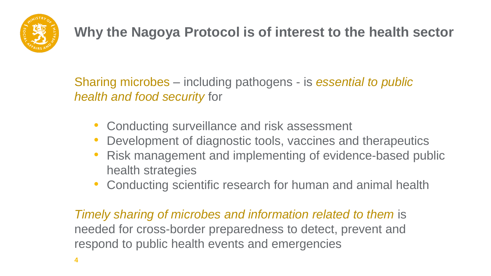

## **Why the Nagoya Protocol is of interest to the health sector**

Sharing microbes – including pathogens - is *essential to public health and food security* for

- Conducting surveillance and risk assessment
- Development of diagnostic tools, vaccines and therapeutics
- Risk management and implementing of evidence-based public health strategies
- Conducting scientific research for human and animal health

*Timely sharing of microbes and information related to them is* needed for cross-border preparedness to detect, prevent and respond to public health events and emergencies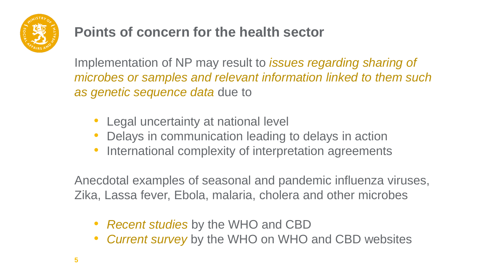

#### **Points of concern for the health sector**

Implementation of NP may result to *issues regarding sharing of microbes or samples and relevant information linked to them such as genetic sequence data* due to

- Legal uncertainty at national level
- Delays in communication leading to delays in action
- International complexity of interpretation agreements

Anecdotal examples of seasonal and pandemic influenza viruses, Zika, Lassa fever, Ebola, malaria, cholera and other microbes

- *Recent studies* by the WHO and CBD
- *Current survey* by the WHO on WHO and CBD websites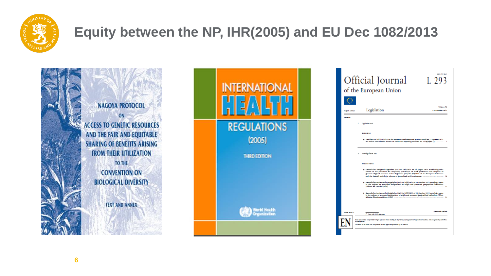

## **Equity between the NP, IHR(2005) and EU Dec 1082/2013**

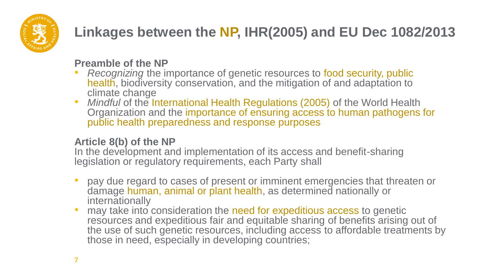

## **Linkages between the NP, IHR(2005) and EU Dec 1082/2013**

#### **Preamble of the NP**

- *Recognizing* the importance of genetic resources to food security, public health, biodiversity conservation, and the mitigation of and adaptation to climate change
- *Mindful* of the International Health Regulations (2005) of the World Health Organization and the importance of ensuring access to human pathogens for public health preparedness and response purposes

#### **Article 8(b) of the NP**

In the development and implementation of its access and benefit-sharing legislation or regulatory requirements, each Party shall

- pay due regard to cases of present or imminent emergencies that threaten or damage human, animal or plant health, as determined nationally or internationally
- may take into consideration the need for expeditious access to genetic resources and expeditious fair and equitable sharing of benefits arising out of the use of such genetic resources, including access to affordable treatments by those in need, especially in developing countries;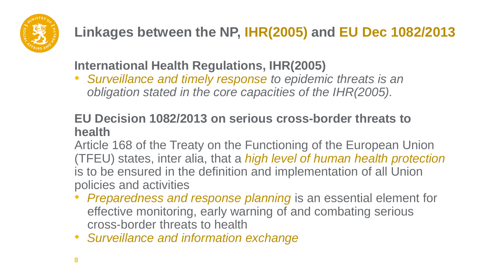

## **Linkages between the NP, IHR(2005) and EU Dec 1082/2013**

**International Health Regulations, IHR(2005)**

• *Surveillance and timely response to epidemic threats is an obligation stated in the core capacities of the IHR(2005).*

#### **EU Decision 1082/2013 on serious cross-border threats to health**

Article 168 of the Treaty on the Functioning of the European Union (TFEU) states, inter alia, that a *high level of human health protection* is to be ensured in the definition and implementation of all Union policies and activities

- *Preparedness and response planning* is an essential element for effective monitoring, early warning of and combating serious cross-border threats to health
- *Surveillance and information exchange*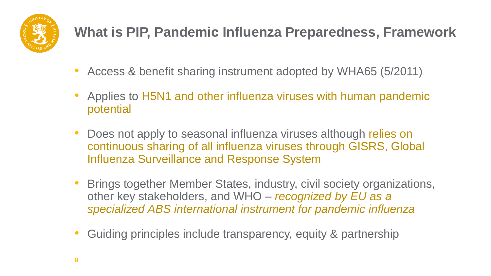

### **What is PIP, Pandemic Influenza Preparedness, Framework**

- Access & benefit sharing instrument adopted by WHA65 (5/2011)
- Applies to H5N1 and other influenza viruses with human pandemic potential
- Does not apply to seasonal influenza viruses although relies on continuous sharing of all influenza viruses through GISRS, Global Influenza Surveillance and Response System
- Brings together Member States, industry, civil society organizations, other key stakeholders, and WHO – *recognized by EU as a specialized ABS international instrument for pandemic influenza*
- Guiding principles include transparency, equity & partnership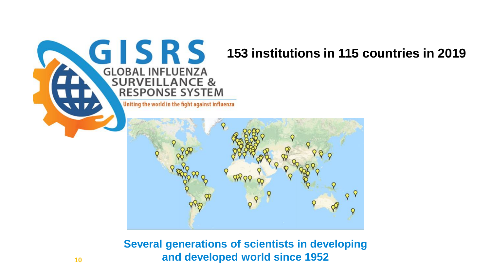

#### **153 institutions in 115 countries in 2019**

Uniting the world in the fight against influenza



**Several generations of scientists in developing and developed world since 1952**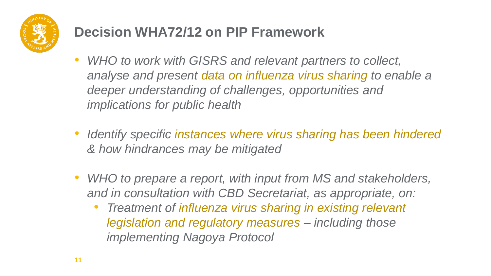

## **Decision WHA72/12 on PIP Framework**

- *WHO to work with GISRS and relevant partners to collect, analyse and present data on influenza virus sharing to enable a deeper understanding of challenges, opportunities and implications for public health*
- *Identify specific instances where virus sharing has been hindered & how hindrances may be mitigated*
- *WHO to prepare a report, with input from MS and stakeholders, and in consultation with CBD Secretariat, as appropriate, on:*
	- *Treatment of influenza virus sharing in existing relevant legislation and regulatory measures – including those implementing Nagoya Protocol*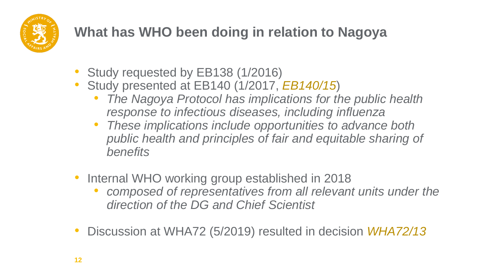

## **What has WHO been doing in relation to Nagoya**

- Study requested by EB138 (1/2016)
- Study presented at EB140 (1/2017, *EB140/15*)
	- *The Nagoya Protocol has implications for the public health response to infectious diseases, including influenza*
	- *These implications include opportunities to advance both public health and principles of fair and equitable sharing of benefits*
- Internal WHO working group established in 2018
	- *composed of representatives from all relevant units under the direction of the DG and Chief Scientist*
- Discussion at WHA72 (5/2019) resulted in decision *WHA72/13*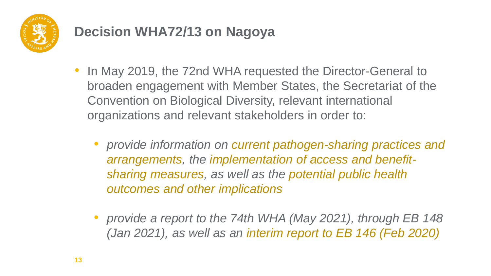

#### **Decision WHA72/13 on Nagoya**

- In May 2019, the 72nd WHA requested the Director-General to broaden engagement with Member States, the Secretariat of the Convention on Biological Diversity, relevant international organizations and relevant stakeholders in order to:
	- *provide information on current pathogen-sharing practices and arrangements, the implementation of access and benefitsharing measures, as well as the potential public health outcomes and other implications*
	- *provide a report to the 74th WHA (May 2021), through EB 148 (Jan 2021), as well as an interim report to EB 146 (Feb 2020)*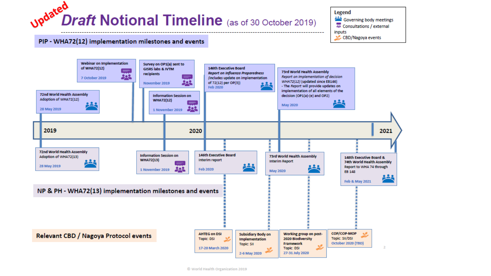

Legend Governing body meetings Consultations / external inputs × CBD/Nagoya events

#### PIP - WHA72(12) implementation milestones and events

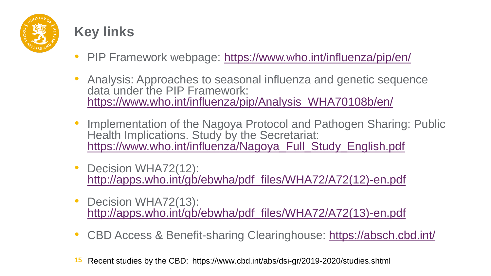

#### **Key links**

- PIP Framework webpage:<https://www.who.int/influenza/pip/en/>
- Analysis: Approaches to seasonal influenza and genetic sequence data under the PIP Framework: [https://www.who.int/influenza/pip/Analysis\\_WHA70108b/en/](https://www.who.int/influenza/pip/Analysis_WHA70108b/en/)
- Implementation of the Nagoya Protocol and Pathogen Sharing: Public Health Implications. Study by the Secretariat: [https://www.who.int/influenza/Nagoya\\_Full\\_Study\\_English.pdf](https://www.who.int/influenza/Nagoya_Full_Study_English.pdf)
- Decision WHA72(12): [http://apps.who.int/gb/ebwha/pdf\\_files/WHA72/A72\(12\)-en.pdf](http://apps.who.int/gb/ebwha/pdf_files/WHA72/A72(12)-en.pdf)
- Decision WHA72(13): [http://apps.who.int/gb/ebwha/pdf\\_files/WHA72/A72\(13\)-en.pdf](http://apps.who.int/gb/ebwha/pdf_files/WHA72/A72(13)-en.pdf)
- CBD Access & Benefit-sharing Clearinghouse:<https://absch.cbd.int/>
- **15** Recent studies by the CBD: https://www.cbd.int/abs/dsi-gr/2019-2020/studies.shtml